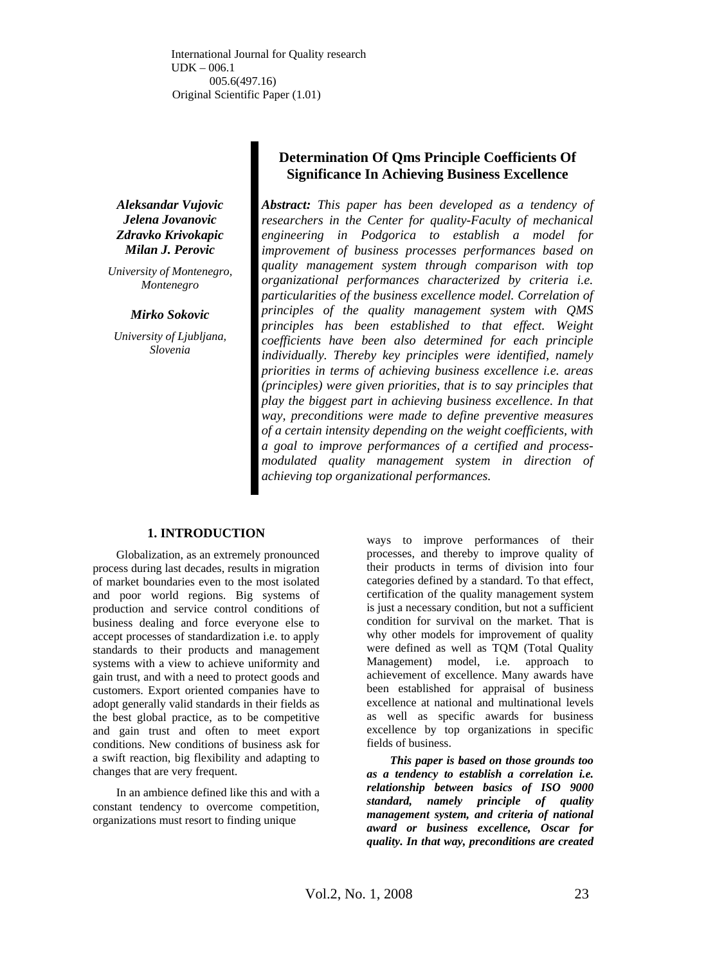International Journal for Quality research UDK – 006.1 005.6(497.16) Original Scientific Paper (1.01)

*Aleksandar Vujovic Jelena Jovanovic Zdravko Krivokapic Milan J. Perovic* 

*University of Montenegro, Montenegro* 

#### *Mirko Sokovic*

*University of Ljubljana, Slovenia* 

# **Determination Of Qms Principle Coefficients Of Significance In Achieving Business Excellence**

*Abstract: This paper has been developed as a tendency of researchers in the Center for quality-Faculty of mechanical engineering in Podgorica to establish a model for improvement of business processes performances based on quality management system through comparison with top organizational performances characterized by criteria i.e. particularities of the business excellence model. Correlation of principles of the quality management system with QMS principles has been established to that effect. Weight coefficients have been also determined for each principle individually. Thereby key principles were identified, namely priorities in terms of achieving business excellence i.e. areas (principles) were given priorities, that is to say principles that play the biggest part in achieving business excellence. In that way, preconditions were made to define preventive measures of a certain intensity depending on the weight coefficients, with a goal to improve performances of a certified and processmodulated quality management system in direction of achieving top organizational performances.* 

#### **1. INTRODUCTION**

Globalization, as an extremely pronounced process during last decades, results in migration of market boundaries even to the most isolated and poor world regions. Big systems of production and service control conditions of business dealing and force everyone else to accept processes of standardization i.e. to apply standards to their products and management systems with a view to achieve uniformity and gain trust, and with a need to protect goods and customers. Export oriented companies have to adopt generally valid standards in their fields as the best global practice, as to be competitive and gain trust and often to meet export conditions. New conditions of business ask for a swift reaction, big flexibility and adapting to changes that are very frequent.

In an ambience defined like this and with a constant tendency to overcome competition, organizations must resort to finding unique

ways to improve performances of their processes, and thereby to improve quality of their products in terms of division into four categories defined by a standard. To that effect, certification of the quality management system is just a necessary condition, but not a sufficient condition for survival on the market. That is why other models for improvement of quality were defined as well as TQM (Total Quality Management) model, i.e. approach to achievement of excellence. Many awards have been established for appraisal of business excellence at national and multinational levels as well as specific awards for business excellence by top organizations in specific fields of business.

*This paper is based on those grounds too as a tendency to establish a correlation i.e. relationship between basics of ISO 9000 standard, namely principle of quality management system, and criteria of national award or business excellence, Oscar for quality. In that way, preconditions are created*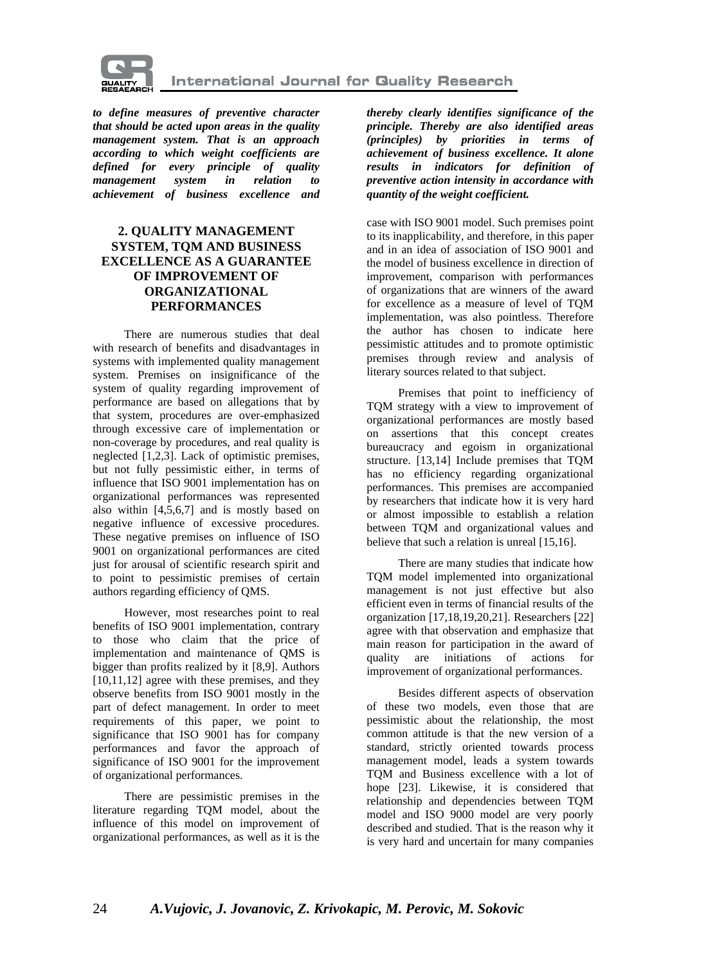

*to define measures of preventive character that should be acted upon areas in the quality management system. That is an approach according to which weight coefficients are defined for every principle of quality management system in relation to achievement of business excellence and* 

# **2. QUALITY MANAGEMENT SYSTEM, TQM AND BUSINESS EXCELLENCE AS A GUARANTEE OF IMPROVEMENT OF ORGANIZATIONAL PERFORMANCES**

There are numerous studies that deal with research of benefits and disadvantages in systems with implemented quality management system. Premises on insignificance of the system of quality regarding improvement of performance are based on allegations that by that system, procedures are over-emphasized through excessive care of implementation or non-coverage by procedures, and real quality is neglected [1,2,3]. Lack of optimistic premises, but not fully pessimistic either, in terms of influence that ISO 9001 implementation has on organizational performances was represented also within [4,5,6,7] and is mostly based on negative influence of excessive procedures. These negative premises on influence of ISO 9001 on organizational performances are cited just for arousal of scientific research spirit and to point to pessimistic premises of certain authors regarding efficiency of QMS.

However, most researches point to real benefits of ISO 9001 implementation, contrary to those who claim that the price of implementation and maintenance of QMS is bigger than profits realized by it [8,9]. Authors [10,11,12] agree with these premises, and they observe benefits from ISO 9001 mostly in the part of defect management. In order to meet requirements of this paper, we point to significance that ISO 9001 has for company performances and favor the approach of significance of ISO 9001 for the improvement of organizational performances.

There are pessimistic premises in the literature regarding TQM model, about the influence of this model on improvement of organizational performances, as well as it is the *thereby clearly identifies significance of the principle. Thereby are also identified areas (principles) by priorities in terms of achievement of business excellence. It alone results in indicators for definition of preventive action intensity in accordance with quantity of the weight coefficient.* 

case with ISO 9001 model. Such premises point to its inapplicability, and therefore, in this paper and in an idea of association of ISO 9001 and the model of business excellence in direction of improvement, comparison with performances of organizations that are winners of the award for excellence as a measure of level of TQM implementation, was also pointless. Therefore the author has chosen to indicate here pessimistic attitudes and to promote optimistic premises through review and analysis of literary sources related to that subject.

Premises that point to inefficiency of TQM strategy with a view to improvement of organizational performances are mostly based on assertions that this concept creates bureaucracy and egoism in organizational structure. [13,14] Include premises that TQM has no efficiency regarding organizational performances. This premises are accompanied by researchers that indicate how it is very hard or almost impossible to establish a relation between TQM and organizational values and believe that such a relation is unreal [15,16].

There are many studies that indicate how TQM model implemented into organizational management is not just effective but also efficient even in terms of financial results of the organization [17,18,19,20,21]. Researchers [22] agree with that observation and emphasize that main reason for participation in the award of quality are initiations of actions for improvement of organizational performances.

Besides different aspects of observation of these two models, even those that are pessimistic about the relationship, the most common attitude is that the new version of a standard, strictly oriented towards process management model, leads a system towards TQM and Business excellence with a lot of hope [23]. Likewise, it is considered that relationship and dependencies between TQM model and ISO 9000 model are very poorly described and studied. That is the reason why it is very hard and uncertain for many companies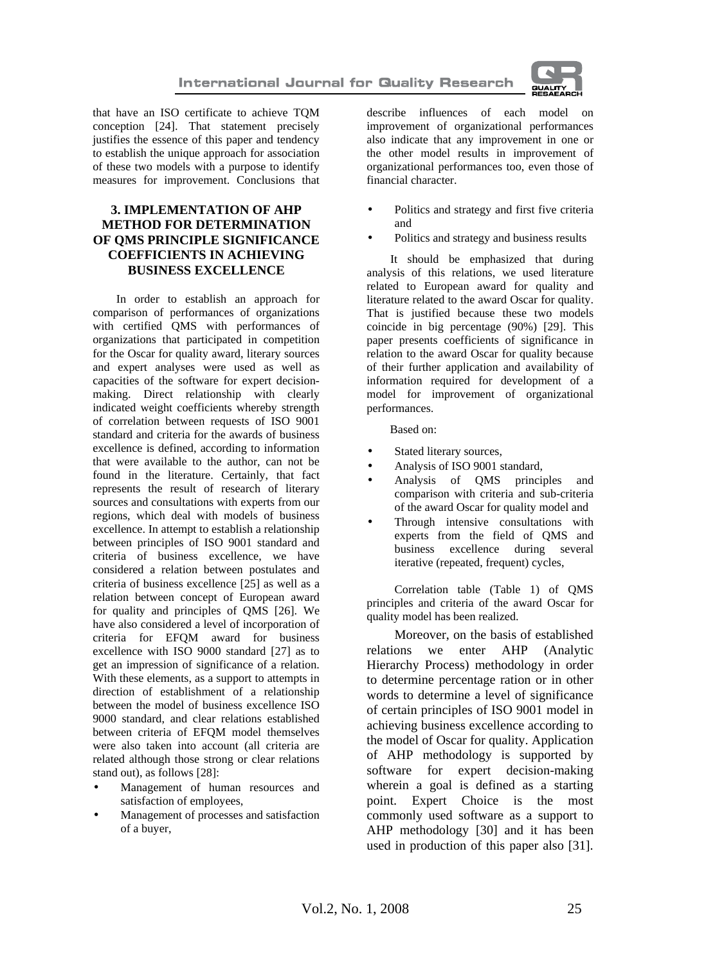

that have an ISO certificate to achieve TQM conception [24]. That statement precisely justifies the essence of this paper and tendency to establish the unique approach for association of these two models with a purpose to identify measures for improvement. Conclusions that

# **3. IMPLEMENTATION OF AHP METHOD FOR DETERMINATION OF QMS PRINCIPLE SIGNIFICANCE COEFFICIENTS IN ACHIEVING BUSINESS EXCELLENCE**

In order to establish an approach for comparison of performances of organizations with certified QMS with performances of organizations that participated in competition for the Oscar for quality award, literary sources and expert analyses were used as well as capacities of the software for expert decisionmaking. Direct relationship with clearly indicated weight coefficients whereby strength of correlation between requests of ISO 9001 standard and criteria for the awards of business excellence is defined, according to information that were available to the author, can not be found in the literature. Certainly, that fact represents the result of research of literary sources and consultations with experts from our regions, which deal with models of business excellence. In attempt to establish a relationship between principles of ISO 9001 standard and criteria of business excellence, we have considered a relation between postulates and criteria of business excellence [25] as well as a relation between concept of European award for quality and principles of QMS [26]. We have also considered a level of incorporation of criteria for EFQM award for business excellence with ISO 9000 standard [27] as to get an impression of significance of a relation. With these elements, as a support to attempts in direction of establishment of a relationship between the model of business excellence ISO 9000 standard, and clear relations established between criteria of EFQM model themselves were also taken into account (all criteria are related although those strong or clear relations stand out), as follows [28]:

- Management of human resources and satisfaction of employees,
- Management of processes and satisfaction of a buyer,

describe influences of each model on improvement of organizational performances also indicate that any improvement in one or the other model results in improvement of organizational performances too, even those of financial character.

- Politics and strategy and first five criteria and
- Politics and strategy and business results

It should be emphasized that during analysis of this relations, we used literature related to European award for quality and literature related to the award Oscar for quality. That is justified because these two models coincide in big percentage (90%) [29]. This paper presents coefficients of significance in relation to the award Oscar for quality because of their further application and availability of information required for development of a model for improvement of organizational performances.

Based on:

- Stated literary sources,
- Analysis of ISO 9001 standard,
- Analysis of QMS principles and comparison with criteria and sub-criteria of the award Oscar for quality model and
- Through intensive consultations with experts from the field of QMS and business excellence during several iterative (repeated, frequent) cycles,

Correlation table (Table 1) of QMS principles and criteria of the award Oscar for quality model has been realized.

Moreover, on the basis of established relations we enter AHP (Analytic Hierarchy Process) methodology in order to determine percentage ration or in other words to determine a level of significance of certain principles of ISO 9001 model in achieving business excellence according to the model of Oscar for quality. Application of AHP methodology is supported by software for expert decision-making wherein a goal is defined as a starting point. Expert Choice is the most commonly used software as a support to AHP methodology [30] and it has been used in production of this paper also [31].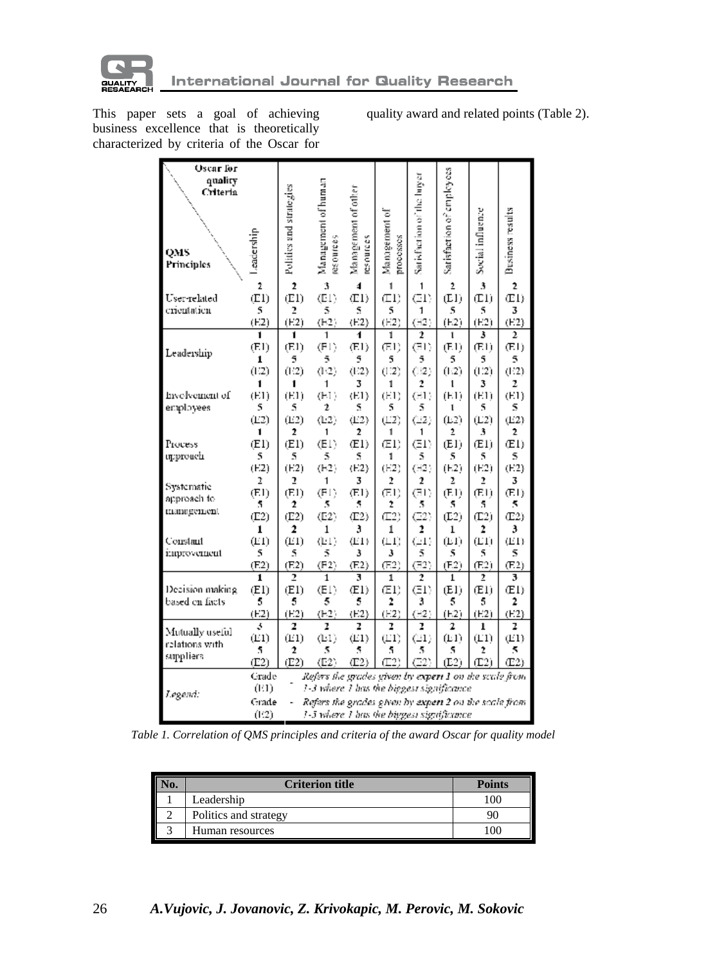

This paper sets a goal of achieving business excellence that is theoretically characterized by criteria of the Oscar for quality award and related points (Table 2).

| <b>Oscar</b> for |            |                         |                                                               |                     |                |                            |                           |                  |                  |
|------------------|------------|-------------------------|---------------------------------------------------------------|---------------------|----------------|----------------------------|---------------------------|------------------|------------------|
| quality          |            |                         |                                                               |                     |                |                            |                           |                  |                  |
| Criteria         |            | Politics and strategies | Management of human                                           | Management of other |                | Sarisfaction of the larger | Satisfaction of employees |                  |                  |
|                  |            |                         |                                                               |                     |                |                            |                           |                  |                  |
|                  |            |                         |                                                               |                     | Management of  |                            |                           | Social influence | Business results |
|                  |            |                         |                                                               |                     |                |                            |                           |                  |                  |
|                  | Leadership |                         | resources                                                     | resources           | processes      |                            |                           |                  |                  |
| QMS              |            |                         |                                                               |                     |                |                            |                           |                  |                  |
| Principles       |            |                         |                                                               |                     |                |                            |                           |                  |                  |
|                  |            |                         |                                                               |                     |                |                            |                           |                  |                  |
|                  | 2          | $\overline{2}$          | 3                                                             | 4                   | 1              | 1                          | 2                         | 3                | $\overline{2}$   |
| User-related     | (E1)       | (E1)                    | (E1)                                                          | (E1)                | (1)            | (E1)                       | (E1)                      | (1)              | (E1)             |
| crientation      | 5          | 2                       | 5                                                             | S                   | 5              | 1                          | 5                         | 5                | 3                |
|                  | (E2)       | (E2)                    | (H2)                                                          | (E2)                | (E2)           | (H2)                       | (E2)                      | (E2)             | (E2)             |
|                  | 1          | 1                       | 1                                                             | 4                   | 1              | 2                          | ı                         | 3                | 2                |
| Leadership       | (E1)       | (E1)                    | (E1)                                                          | (E1)                | (E1)           | (E1)                       | (E1)                      | (E1)             | (E1)             |
|                  | 1          | 5                       | 5                                                             | 5                   | 5              | 5                          | 5                         | 5                | 5                |
|                  | (1:2)      | (12)                    | (1:2)                                                         | (1:2)               | (112)          | (12)                       | (1:2)                     | (1.2)            | (1:2)            |
|                  | 1          |                         | 1                                                             | 3                   | 1              | 2                          | ı                         | 3                | 2                |
| Involvement of   | (E1)       | (E1)                    | (E1)                                                          | (E1)                | (E1)           | (E1)                       | (E1)                      | (E1)             | (E1)             |
| employees        | 5          | 5                       | 2                                                             | S                   | 5              | 5                          | ī                         | 5                | 5                |
|                  | (E2)       | (E2)                    | (E2)                                                          | (E2)                | $(\pm 2)$      | $(\dot{E}2)$               | (L2)                      | (L2)             | (E2)             |
|                  | 1          | 2                       | 1                                                             | 2                   | 1              | 1                          | 2                         | 3                | 2                |
| Process          | (E1)       | (E1)                    | (E1)                                                          | (E1)                | (E1)           | (E1)                       | (E1)                      | (E1)             | (E1)             |
| upprouch         | 5          | 5                       | 5                                                             | S                   | 1              | 5                          | 5                         | 5                | 5                |
|                  | (E2)       | (E2)                    | (H2)                                                          | (E2)                | (E2)           | (H2)                       | (E2)                      | (E2)             | (E2)             |
| Systematic       | 2          | 2                       | 1                                                             | 3                   | 2              | $\overline{2}$             | 2                         | 2                | 3                |
| approach to      | (E1)       | (E1)                    | (E1)                                                          | (E1)                | (E1)           | (E1)                       | (E1)                      | (E1)             | (E1)             |
| management       | 5          | 2                       | 5                                                             | 5                   | Ž              | 5                          | 5                         | 5                | 5                |
|                  | (E2)       | (E2)                    | (E2)                                                          | (E2)                | $(\square 2)$  | (E2)                       | (E2)                      | (T2)             | (E2)             |
|                  | 1          | 2                       | $\mathbf{1}$                                                  | 3                   | 1              | 2                          | ı                         | 2                | 3                |
| Constant         | (E1)       | (E1)                    | (E1)                                                          | (E1)                | $(\pm 1)$      | $(\pm 1)$                  | $(\text{E1})$             | (L1)             | (E1)             |
| improvement      | 5          | 5                       | 5                                                             | 3                   | 3              | 5                          | 5                         | 5                | 5                |
|                  | (E2)       | (F.2)                   | (E2)                                                          | (F.2)               | (E2)           | (E2)                       | (F.2)                     | (E2)             | (F.2)            |
|                  | 1          | $\overline{2}$          | 1                                                             | 3                   | 1              | 2                          | $\mathbf{1}$              | $\overline{2}$   | 3                |
| Decision making  | (E1)       | (E1)                    | (E1)                                                          | (E1)                | (E1)           | (E1)                       | (E1)                      | (E1)             | (E1)             |
| based on facts   | 5          | 5                       | 5                                                             | 5                   | $\overline{z}$ | 3                          | 5                         | 5                | 2                |
|                  | (E2)       | (E2)                    | (E2)                                                          | (E2)                | (E2)           | $(\pm 2)$                  | (E2)                      | (E2)             | (F.2)            |
| Mutually useful  | š          | 2                       | 2                                                             | Z                   | ľ              | ľ                          | 2                         | ı                | z                |
| relations with   | (E1)       | (E1)                    | (E1)                                                          | (E1)                | $(\square 1)$  | $(\mathbb{E}1)$            | (E1)                      | (L1)             | (E1)             |
| suppliers        | 5          | 2                       | 5                                                             | 5                   | 5              | 5                          | 5                         | Ž                | 5                |
|                  | (E2)       | (E2)                    | (E2)                                                          | (E2)                | $(\square 2)$  | (E2)                       | (E2)                      | (12)             | (E2)             |
|                  | Grade      |                         | Refers the grades given by ex <b>pert 1</b> on the scale from |                     |                |                            |                           |                  |                  |
|                  | (EI)       |                         | 1-3 where 1 has the biggest significance                      |                     |                |                            |                           |                  |                  |
| Legend:          | Grade      |                         | Refers the grades given by expert 2 on the scale from         |                     |                |                            |                           |                  |                  |
|                  | (12)       |                         | 1-5 where 1 has the biggest significance.                     |                     |                |                            |                           |                  |                  |
|                  |            |                         |                                                               |                     |                |                            |                           |                  |                  |

*Table 1. Correlation of QMS principles and criteria of the award Oscar for quality model*

| <b>Criterion title</b> | <b>Points</b> |
|------------------------|---------------|
| Leadership             |               |
| Politics and strategy  |               |
| Human resources        |               |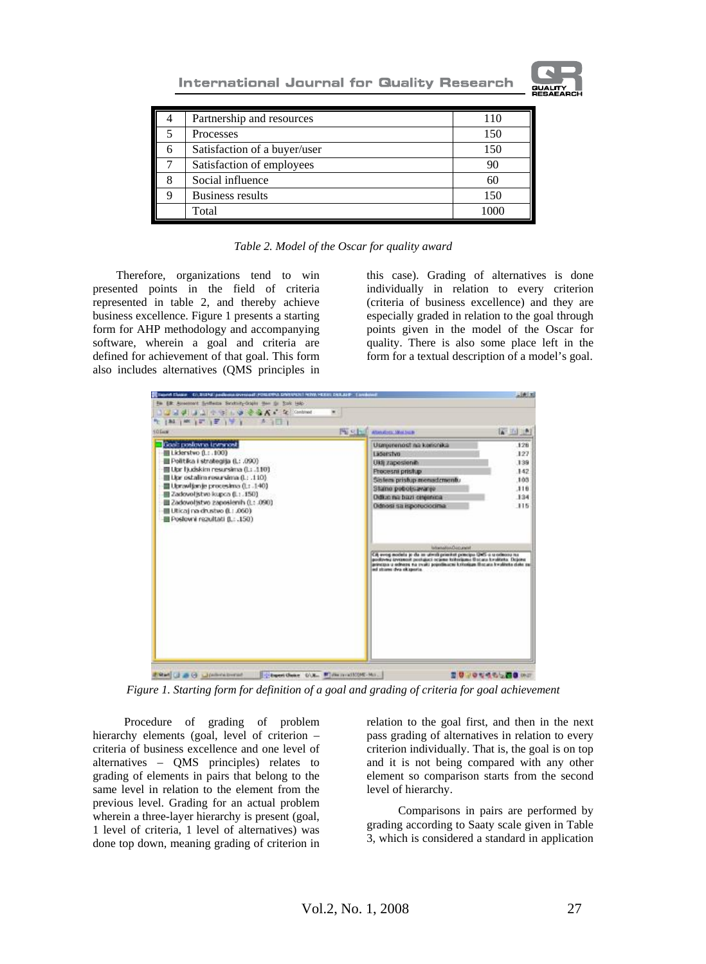**International Journal for Quality Research** 



|   | Partnership and resources    | 110 |
|---|------------------------------|-----|
|   | Processes                    | 150 |
| 6 | Satisfaction of a buyer/user | 150 |
|   | Satisfaction of employees    | 90  |
|   | Social influence             | 60  |
|   | <b>Business results</b>      | 150 |
|   | Total                        |     |

*Table 2. Model of the Oscar for quality award* 

Therefore, organizations tend to win presented points in the field of criteria represented in table 2, and thereby achieve business excellence. Figure 1 presents a starting form for AHP methodology and accompanying software, wherein a goal and criteria are defined for achievement of that goal. This form also includes alternatives (QMS principles in

this case). Grading of alternatives is done individually in relation to every criterion (criteria of business excellence) and they are especially graded in relation to the goal through points given in the model of the Oscar for quality. There is also some place left in the form for a textual description of a model's goal.



*Figure 1. Starting form for definition of a goal and grading of criteria for goal achievement* 

Procedure of grading of problem hierarchy elements (goal, level of criterion – criteria of business excellence and one level of alternatives – QMS principles) relates to grading of elements in pairs that belong to the same level in relation to the element from the previous level. Grading for an actual problem wherein a three-layer hierarchy is present (goal, 1 level of criteria, 1 level of alternatives) was done top down, meaning grading of criterion in

relation to the goal first, and then in the next pass grading of alternatives in relation to every criterion individually. That is, the goal is on top and it is not being compared with any other element so comparison starts from the second level of hierarchy.

Comparisons in pairs are performed by grading according to Saaty scale given in Table 3, which is considered a standard in application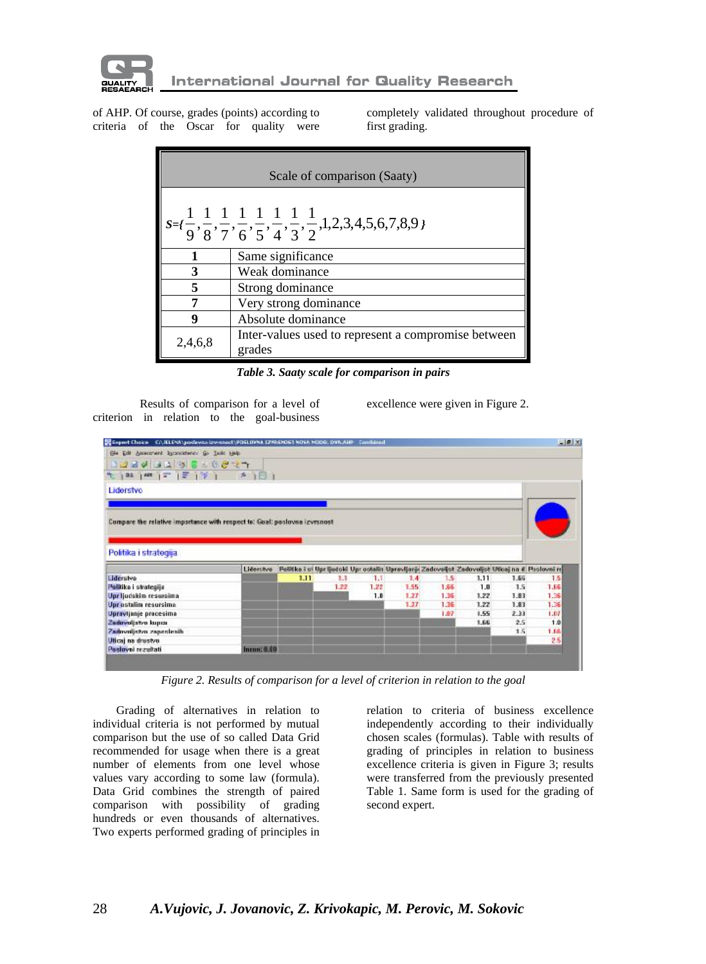

of AHP. Of course, grades (points) according to criteria of the Oscar for quality were completely validated throughout procedure of first grading.

|         | Scale of comparison (Saaty)                                                                                                                 |  |  |  |  |  |
|---------|---------------------------------------------------------------------------------------------------------------------------------------------|--|--|--|--|--|
|         | $s = \{\frac{1}{9}, \frac{1}{8}, \frac{1}{7}, \frac{1}{6}, \frac{1}{5}, \frac{1}{4}, \frac{1}{3}, \frac{1}{2}, 1, 2, 3, 4, 5, 6, 7, 8, 9\}$ |  |  |  |  |  |
|         | Same significance                                                                                                                           |  |  |  |  |  |
| 3       | Weak dominance                                                                                                                              |  |  |  |  |  |
|         | Strong dominance                                                                                                                            |  |  |  |  |  |
|         | Very strong dominance                                                                                                                       |  |  |  |  |  |
| u       | Absolute dominance                                                                                                                          |  |  |  |  |  |
| 2,4,6,8 | Inter-values used to represent a compromise between<br>grades                                                                               |  |  |  |  |  |

*Table 3. Saaty scale for comparison in pairs* 

Results of comparison for a level of criterion in relation to the goal-business excellence were given in Figure 2.

| Sie Edit Americanet Inconsistency Go Tesic Help                                                                                                                                                               | Stapest Choice C/UEE/W/podeves is weport/POSLOVNA IZVRSNOST NOVA NODEL DWAAHP |                                                                                               |      |      |                  |      |      |      | $-101$ $\times$ |
|---------------------------------------------------------------------------------------------------------------------------------------------------------------------------------------------------------------|-------------------------------------------------------------------------------|-----------------------------------------------------------------------------------------------|------|------|------------------|------|------|------|-----------------|
|                                                                                                                                                                                                               |                                                                               |                                                                                               |      |      |                  |      |      |      |                 |
| 12342438181827                                                                                                                                                                                                |                                                                               |                                                                                               |      |      |                  |      |      |      |                 |
| 化分解 网络 (第1条) 第1回)                                                                                                                                                                                             |                                                                               |                                                                                               |      |      |                  |      |      |      |                 |
| Liderstvo                                                                                                                                                                                                     |                                                                               |                                                                                               |      |      |                  |      |      |      |                 |
|                                                                                                                                                                                                               |                                                                               |                                                                                               |      |      |                  |      |      |      |                 |
|                                                                                                                                                                                                               |                                                                               |                                                                                               |      |      |                  |      |      |      |                 |
| Compare the relative importance with respect to: Goal: poslovna izvrsnost                                                                                                                                     |                                                                               |                                                                                               |      |      |                  |      |      |      |                 |
|                                                                                                                                                                                                               |                                                                               |                                                                                               |      |      |                  |      |      |      |                 |
|                                                                                                                                                                                                               |                                                                               |                                                                                               |      |      |                  |      |      |      |                 |
|                                                                                                                                                                                                               |                                                                               |                                                                                               |      |      |                  |      |      |      |                 |
|                                                                                                                                                                                                               |                                                                               |                                                                                               |      |      |                  |      |      |      |                 |
|                                                                                                                                                                                                               |                                                                               |                                                                                               |      |      |                  |      |      |      |                 |
|                                                                                                                                                                                                               | Liderchee                                                                     | Politika i si Uprijedski Uprostalin Upravljanji Zadovoljst Zadovoljst Uticaj na 6 Poslovni re |      |      |                  |      |      |      |                 |
|                                                                                                                                                                                                               |                                                                               | 1.11                                                                                          | 1.1  | 1.1  | 1.4 <sub>1</sub> | 1.5  | 1.11 | 1.66 | 1.5             |
|                                                                                                                                                                                                               |                                                                               |                                                                                               | 1.22 | 1.22 | 1.55             | 1.66 | 1.0  | 1.5  | 1.65            |
|                                                                                                                                                                                                               |                                                                               |                                                                                               |      | 1.0  | 1.27             | 1.36 | 1.22 | 1.83 | 1.35            |
|                                                                                                                                                                                                               |                                                                               |                                                                                               |      |      | 1.27             | 1.35 | 1.22 | 1.83 | 1.36            |
|                                                                                                                                                                                                               |                                                                               |                                                                                               |      |      |                  | 1.07 | 1.55 | 2.33 | 1.07            |
|                                                                                                                                                                                                               |                                                                               |                                                                                               |      |      |                  |      | 1.66 | 2.5  | 1.8             |
|                                                                                                                                                                                                               |                                                                               |                                                                                               |      |      |                  |      |      | 1.5  | 1.88            |
| Politika i strategija.<br>Liderstve<br>Pelitika i strategija<br>Upr ljudskim resursima<br>Uprostalin resursima<br>Upravljanje procesima<br>Zedovoljstvo kupca<br>Zadronijstvo zapastenih<br>Uticaj na drustvo |                                                                               |                                                                                               |      |      |                  |      |      |      | 2.5             |

*Figure 2. Results of comparison for a level of criterion in relation to the goal* 

Grading of alternatives in relation to individual criteria is not performed by mutual comparison but the use of so called Data Grid recommended for usage when there is a great number of elements from one level whose values vary according to some law (formula). Data Grid combines the strength of paired comparison with possibility of grading hundreds or even thousands of alternatives. Two experts performed grading of principles in relation to criteria of business excellence independently according to their individually chosen scales (formulas). Table with results of grading of principles in relation to business excellence criteria is given in Figure 3; results were transferred from the previously presented Table 1. Same form is used for the grading of second expert.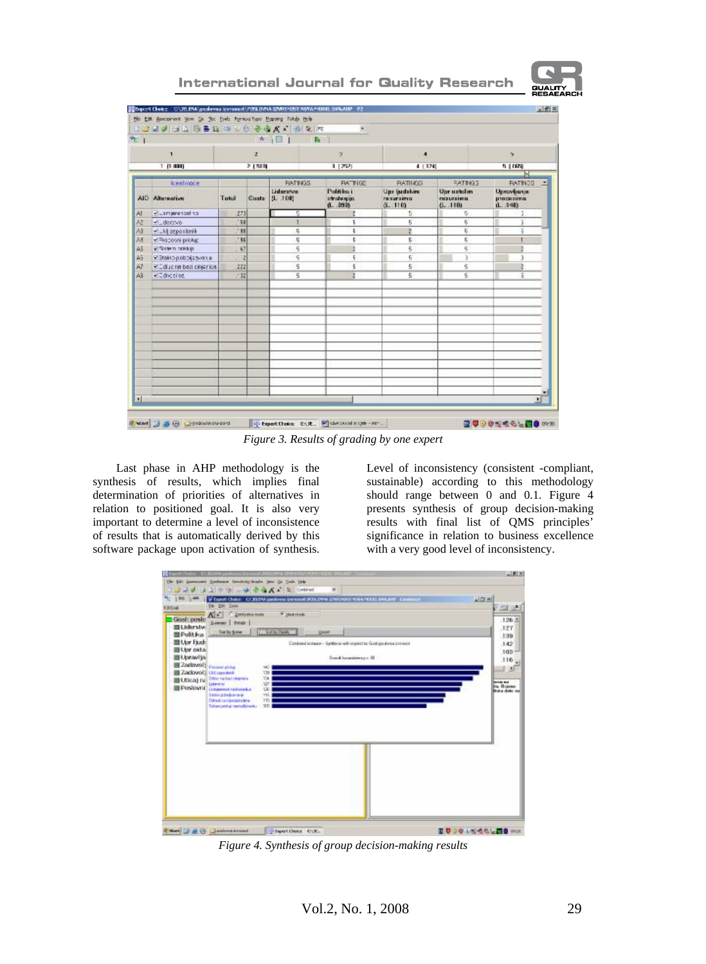

# **International Journal for Quality Research**

| $\tau$ )    |                                           |              |              | ★ j目                         |                                        |                                      |                                   |                                                 |
|-------------|-------------------------------------------|--------------|--------------|------------------------------|----------------------------------------|--------------------------------------|-----------------------------------|-------------------------------------------------|
|             | $\mathbf{I}$                              |              | $\mathbf{z}$ |                              | $\mathbf{S}$                           | ٠                                    |                                   | ы                                               |
|             | 1. (1.000)                                |              | 2.1589       |                              | 3 (252)                                | 4 ( 824)                             |                                   | 5 (1978)                                        |
|             |                                           |              |              |                              |                                        |                                      |                                   |                                                 |
|             | keatmode                                  |              |              | <b>RATINGS</b>               | <b>BATNES</b>                          | <b>FIATINGS</b>                      | <b>EATING3</b>                    | <b>BATINGS</b>                                  |
|             | AID Alternative                           | Total        | Costs        | Lideratvo<br>$(L - 100)$     | Palitiko i<br>stratu qua<br>$0 - 1916$ | Upr (udskim)<br>renarsimo<br>(1.110) | Upricatalim<br>mouning<br>(1.110) | <b>Upscylianje</b><br>processima<br>$(1 - 140)$ |
| AI          | <b>Plus mjerencafina</b>                  | 273          |              | Б                            |                                        | Б                                    | 5                                 |                                                 |
| $\lambda$ 3 | derive.                                   | 158          |              |                              | t                                      | 5                                    | 5                                 | ă                                               |
| $\lambda$ 3 | Mukij asposlovik                          | 198          |              | 5                            | t.                                     | Z                                    | 5                                 | š                                               |
| $\lambda$ 1 | Pilmocooni priolup:                       | 196          |              | 5                            | t                                      | 5                                    | 5                                 |                                                 |
| 45          | gi Siciem ministro                        | 67           |              | 5                            |                                        | 5.                                   | 5                                 |                                                 |
| Äã          | 978462pobogsavere                         |              |              | 5                            | 5                                      | 5                                    | 3                                 | $\overline{3}$                                  |
| A7<br>A3    | Cliquerio ball cinjerico.<br>villation of | 222<br>$+32$ |              | 5<br>$\overline{\mathsf{S}}$ | 5<br>ž                                 | 5<br>5                               | 5<br>$\overline{\mathbf{s}}$      | ë<br>Ŧ                                          |
|             |                                           |              |              |                              |                                        |                                      |                                   |                                                 |
| н           |                                           |              |              |                              |                                        |                                      |                                   | 뇌                                               |

*Figure 3. Results of grading by one expert* 

Last phase in AHP methodology is the synthesis of results, which implies final determination of priorities of alternatives in relation to positioned goal. It is also very important to determine a level of inconsistence of results that is automatically derived by this software package upon activation of synthesis. Level of inconsistency (consistent -compliant, sustainable) according to this methodology should range between 0 and 0.1. Figure 4 presents synthesis of group decision-making results with final list of QMS principles' significance in relation to business excellence with a very good level of inconsistency.

| 1.8004                                                  | De Der Tanto                                                                                                                                                                              | Choost Croise CLYLEW perform invested POSCAN LIVENIGE HOME ROLL DWARE 43                              | <b>AIDIM</b><br>7 S L                        |
|---------------------------------------------------------|-------------------------------------------------------------------------------------------------------------------------------------------------------------------------------------------|-------------------------------------------------------------------------------------------------------|----------------------------------------------|
| Goal: poste<br><b>ELiderstw</b>                         | A<br><b>DIARAGEMENT</b><br><b>Details</b><br><b>Summer</b><br>Six by blow                                                                                                                 | F 16si moto<br><b>CASTLEDGE</b><br>Livea                                                              | 126.2<br>127                                 |
| <b>DPolitica</b><br>Upr Fach<br>Upr osta<br>ELipravija) | Zadovolt Passei pida                                                                                                                                                                      | Cambined instance - Symbosis with respect to Good govice as commist<br>Danal Immediatory of 28<br>142 | 139<br>.142<br>105 <sub>1</sub><br>.116<br>۰ |
|                                                         | Zadovoči un mento<br><b>ELEIGA)</b> nel <sup>Office</sup> refer manes<br>Liberativa<br>Postovni dagesa rataista<br>State poolerings<br>Odnosi pa igenvzlodina<br>Sidongsidup sania@inarku | 739<br>TM.<br>$\overline{u}$<br>œ<br>16<br>TB<br>TOV.                                                 | ---<br>its Briene<br>Blake dobe out          |
|                                                         |                                                                                                                                                                                           |                                                                                                       |                                              |
|                                                         |                                                                                                                                                                                           |                                                                                                       |                                              |
|                                                         |                                                                                                                                                                                           |                                                                                                       |                                              |
|                                                         |                                                                                                                                                                                           |                                                                                                       |                                              |

*Figure 4. Synthesis of group decision-making results*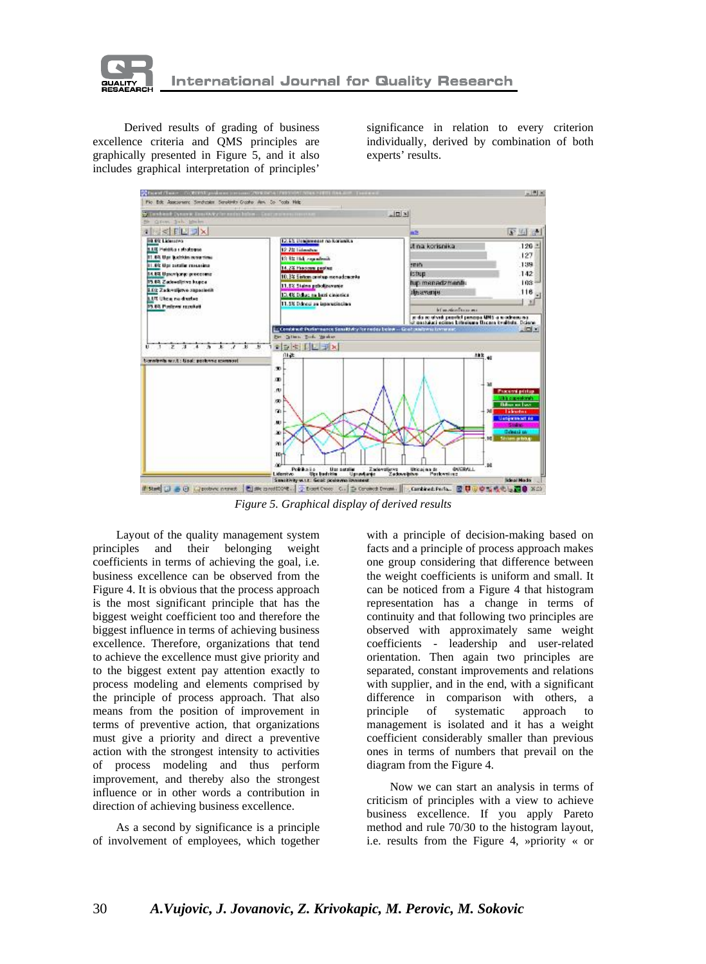

Derived results of grading of business excellence criteria and QMS principles are graphically presented in Figure 5, and it also includes graphical interpretation of principles'

significance in relation to every criterion individually, derived by combination of both experts' results.



*Figure 5. Graphical display of derived results*

Layout of the quality management system principles and their belonging weight coefficients in terms of achieving the goal, i.e. business excellence can be observed from the Figure 4. It is obvious that the process approach is the most significant principle that has the biggest weight coefficient too and therefore the biggest influence in terms of achieving business excellence. Therefore, organizations that tend to achieve the excellence must give priority and to the biggest extent pay attention exactly to process modeling and elements comprised by the principle of process approach. That also means from the position of improvement in terms of preventive action, that organizations must give a priority and direct a preventive action with the strongest intensity to activities of process modeling and thus perform improvement, and thereby also the strongest influence or in other words a contribution in direction of achieving business excellence.

As a second by significance is a principle of involvement of employees, which together with a principle of decision-making based on facts and a principle of process approach makes one group considering that difference between the weight coefficients is uniform and small. It can be noticed from a Figure 4 that histogram representation has a change in terms of continuity and that following two principles are observed with approximately same weight coefficients - leadership and user-related orientation. Then again two principles are separated, constant improvements and relations with supplier, and in the end, with a significant difference in comparison with others, a principle of systematic approach to management is isolated and it has a weight coefficient considerably smaller than previous ones in terms of numbers that prevail on the diagram from the Figure 4.

Now we can start an analysis in terms of criticism of principles with a view to achieve business excellence. If you apply Pareto method and rule 70/30 to the histogram layout, i.e. results from the Figure 4, »priority « or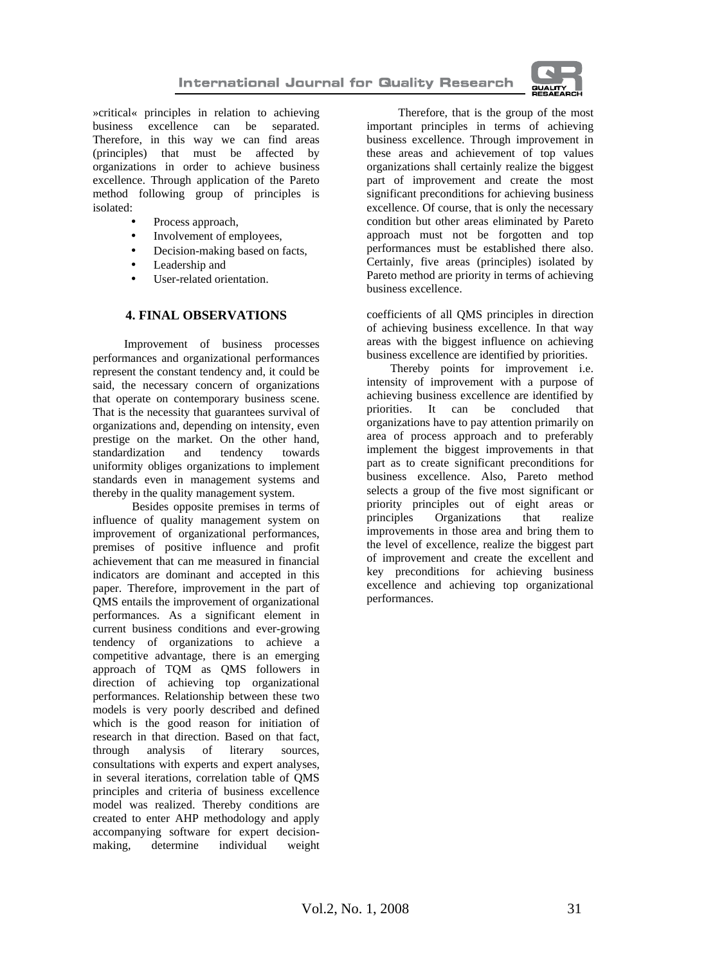

»critical« principles in relation to achieving business excellence can be separated. Therefore, in this way we can find areas (principles) that must be affected by organizations in order to achieve business excellence. Through application of the Pareto method following group of principles is isolated:

- Process approach,
- Involvement of employees,
- Decision-making based on facts,
- Leadership and
- User-related orientation.

#### **4. FINAL OBSERVATIONS**

Improvement of business processes performances and organizational performances represent the constant tendency and, it could be said, the necessary concern of organizations that operate on contemporary business scene. That is the necessity that guarantees survival of organizations and, depending on intensity, even prestige on the market. On the other hand, standardization and tendency towards uniformity obliges organizations to implement standards even in management systems and thereby in the quality management system.

Besides opposite premises in terms of influence of quality management system on improvement of organizational performances, premises of positive influence and profit achievement that can me measured in financial indicators are dominant and accepted in this paper. Therefore, improvement in the part of QMS entails the improvement of organizational performances. As a significant element in current business conditions and ever-growing tendency of organizations to achieve a competitive advantage, there is an emerging approach of TQM as QMS followers in direction of achieving top organizational performances. Relationship between these two models is very poorly described and defined which is the good reason for initiation of research in that direction. Based on that fact, through analysis of literary sources, consultations with experts and expert analyses, in several iterations, correlation table of QMS principles and criteria of business excellence model was realized. Thereby conditions are created to enter AHP methodology and apply accompanying software for expert decisionmaking, determine individual weight

Therefore, that is the group of the most important principles in terms of achieving business excellence. Through improvement in these areas and achievement of top values organizations shall certainly realize the biggest part of improvement and create the most significant preconditions for achieving business excellence. Of course, that is only the necessary condition but other areas eliminated by Pareto approach must not be forgotten and top performances must be established there also. Certainly, five areas (principles) isolated by Pareto method are priority in terms of achieving business excellence.

coefficients of all QMS principles in direction of achieving business excellence. In that way areas with the biggest influence on achieving business excellence are identified by priorities.

Thereby points for improvement i.e. intensity of improvement with a purpose of achieving business excellence are identified by priorities. It can be concluded that organizations have to pay attention primarily on area of process approach and to preferably implement the biggest improvements in that part as to create significant preconditions for business excellence. Also, Pareto method selects a group of the five most significant or priority principles out of eight areas or principles Organizations that realize improvements in those area and bring them to the level of excellence, realize the biggest part of improvement and create the excellent and key preconditions for achieving business excellence and achieving top organizational performances.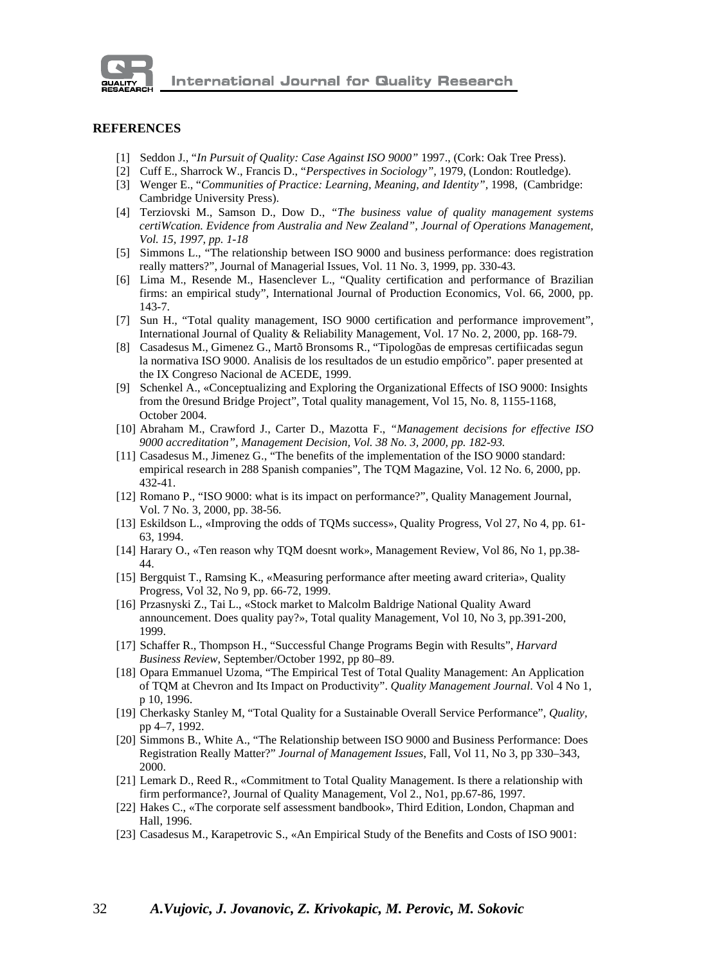

#### **REFERENCES**

- [1] Seddon J., "*In Pursuit of Quality: Case Against ISO 9000"* 1997., (Cork: Oak Tree Press).
- [2] Cuff E., Sharrock W., Francis D., "*Perspectives in Sociology",* 1979, (London: Routledge).
- [3] Wenger E., "*Communities of Practice: Learning, Meaning, and Identity*", 1998, (Cambridge: Cambridge University Press).
- [4] Terziovski M., Samson D., Dow D., *"The business value of quality management systems certiWcation. Evidence from Australia and New Zealand", Journal of Operations Management, Vol. 15, 1997, pp. 1-18*
- [5] Simmons L., "The relationship between ISO 9000 and business performance: does registration really matters?", Journal of Managerial Issues, Vol. 11 No. 3, 1999, pp. 330-43.
- [6] Lima M., Resende M., Hasenclever L., "Quality certification and performance of Brazilian firms: an empirical study", International Journal of Production Economics, Vol. 66, 2000, pp. 143-7.
- [7] Sun H., "Total quality management, ISO 9000 certification and performance improvement", International Journal of Quality & Reliability Management, Vol. 17 No. 2, 2000, pp. 168-79.
- [8] Casadesus M., Gimenez G., Martõ Bronsoms R., "Tipologõas de empresas certifiicadas segun la normativa ISO 9000. Analisis de los resultados de un estudio empõrico". paper presented at the IX Congreso Nacional de ACEDE, 1999.
- [9] Schenkel A., «Conceptualizing and Exploring the Organizational Effects of ISO 9000: Insights from the 0resund Bridge Project", Total quality management, Vol 15, No. 8, 1155-1168, October 2004.
- [10] Abraham M., Crawford J., Carter D., Mazotta F., *"Management decisions for effective ISO 9000 accreditation", Management Decision, Vol. 38 No. 3, 2000, pp. 182-93.*
- [11] Casadesus M., Jimenez G., "The benefits of the implementation of the ISO 9000 standard: empirical research in 288 Spanish companies", The TQM Magazine, Vol. 12 No. 6, 2000, pp. 432-41.
- [12] Romano P., "ISO 9000: what is its impact on performance?", Quality Management Journal, Vol. 7 No. 3, 2000, pp. 38-56.
- [13] Eskildson L., «Improving the odds of TQMs success», Quality Progress, Vol 27, No 4, pp. 61- 63, 1994.
- [14] Harary O., «Ten reason why TQM doesnt work», Management Review, Vol 86, No 1, pp.38- 44.
- [15] Bergquist T., Ramsing K., «Measuring performance after meeting award criteria», Quality Progress, Vol 32, No 9, pp. 66-72, 1999.
- [16] Przasnyski Z., Tai L., «Stock market to Malcolm Baldrige National Quality Award announcement. Does quality pay?», Total quality Management, Vol 10, No 3, pp.391-200, 1999.
- [17] Schaffer R., Thompson H., "Successful Change Programs Begin with Results", *Harvard Business Review*, September/October 1992, pp 80–89.
- [18] Opara Emmanuel Uzoma, "The Empirical Test of Total Quality Management: An Application of TQM at Chevron and Its Impact on Productivity". *Quality Management Journal*. Vol 4 No 1, p 10, 1996.
- [19] Cherkasky Stanley M, "Total Quality for a Sustainable Overall Service Performance", *Quality,*  pp 4–7, 1992.
- [20] Simmons B., White A., "The Relationship between ISO 9000 and Business Performance: Does Registration Really Matter?" *Journal of Management Issues*, Fall, Vol 11, No 3, pp 330–343, 2000.
- [21] Lemark D., Reed R., «Commitment to Total Quality Management. Is there a relationship with firm performance?, Journal of Quality Management, Vol 2., No1, pp.67-86, 1997.
- [22] Hakes C., «The corporate self assessment bandbook», Third Edition, London, Chapman and Hall, 1996.
- [23] Casadesus M., Karapetrovic S., «An Empirical Study of the Benefits and Costs of ISO 9001: